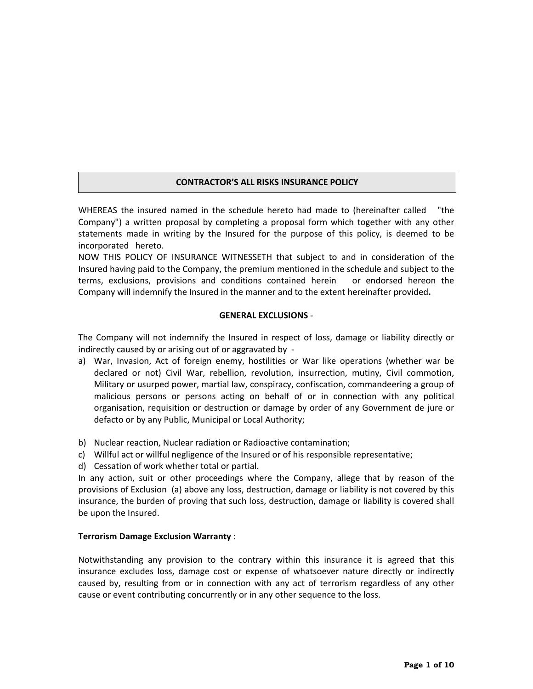# **CONTRACTOR'S ALL RISKS INSURANCE POLICY**

WHEREAS the insured named in the schedule hereto had made to (hereinafter called "the Company") a written proposal by completing a proposal form which together with any other statements made in writing by the Insured for the purpose of this policy, is deemed to be incorporated hereto.

NOW THIS POLICY OF INSURANCE WITNESSETH that subject to and in consideration of the Insured having paid to the Company, the premium mentioned in the schedule and subject to the terms, exclusions, provisions and conditions contained herein or endorsed hereon the Company will indemnify the Insured in the manner and to the extent hereinafter provided**.**

## **GENERAL EXCLUSIONS** -

The Company will not indemnify the Insured in respect of loss, damage or liability directly or indirectly caused by or arising out of or aggravated by -

- a) War, Invasion, Act of foreign enemy, hostilities or War like operations (whether war be declared or not) Civil War, rebellion, revolution, insurrection, mutiny, Civil commotion, Military or usurped power, martial law, conspiracy, confiscation, commandeering a group of malicious persons or persons acting on behalf of or in connection with any political organisation, requisition or destruction or damage by order of any Government de jure or defacto or by any Public, Municipal or Local Authority;
- b) Nuclear reaction, Nuclear radiation or Radioactive contamination;
- c) Willful act or willful negligence of the Insured or of his responsible representative;
- d) Cessation of work whether total or partial.

In any action, suit or other proceedings where the Company, allege that by reason of the provisions of Exclusion (a) above any loss, destruction, damage or liability is not covered by this insurance, the burden of proving that such loss, destruction, damage or liability is covered shall be upon the Insured.

## **Terrorism Damage Exclusion Warranty** :

Notwithstanding any provision to the contrary within this insurance it is agreed that this insurance excludes loss, damage cost or expense of whatsoever nature directly or indirectly caused by, resulting from or in connection with any act of terrorism regardless of any other cause or event contributing concurrently or in any other sequence to the loss.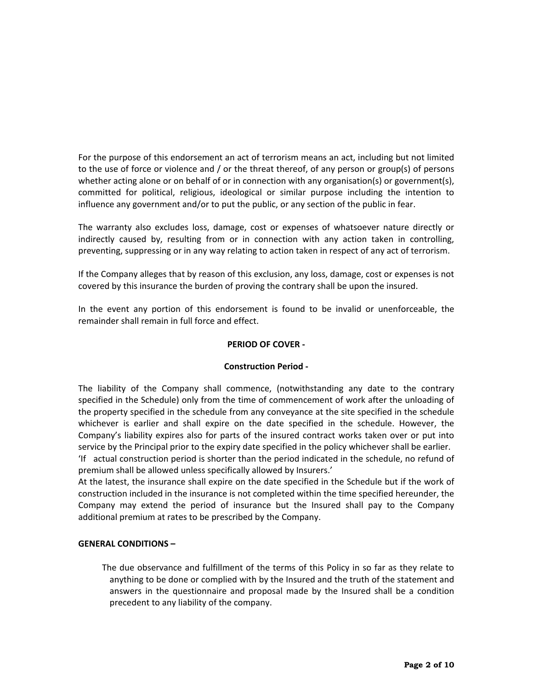For the purpose of this endorsement an act of terrorism means an act, including but not limited to the use of force or violence and / or the threat thereof, of any person or group(s) of persons whether acting alone or on behalf of or in connection with any organisation(s) or government(s), committed for political, religious, ideological or similar purpose including the intention to influence any government and/or to put the public, or any section of the public in fear.

The warranty also excludes loss, damage, cost or expenses of whatsoever nature directly or indirectly caused by, resulting from or in connection with any action taken in controlling, preventing, suppressing or in any way relating to action taken in respect of any act of terrorism.

If the Company alleges that by reason of this exclusion, any loss, damage, cost or expenses is not covered by this insurance the burden of proving the contrary shall be upon the insured.

In the event any portion of this endorsement is found to be invalid or unenforceable, the remainder shall remain in full force and effect.

#### **PERIOD OF COVER -**

## **Construction Period -**

The liability of the Company shall commence, (notwithstanding any date to the contrary specified in the Schedule) only from the time of commencement of work after the unloading of the property specified in the schedule from any conveyance at the site specified in the schedule whichever is earlier and shall expire on the date specified in the schedule. However, the Company's liability expires also for parts of the insured contract works taken over or put into service by the Principal prior to the expiry date specified in the policy whichever shall be earlier. 'If actual construction period is shorter than the period indicated in the schedule, no refund of premium shall be allowed unless specifically allowed by Insurers.'

At the latest, the insurance shall expire on the date specified in the Schedule but if the work of construction included in the insurance is not completed within the time specified hereunder, the Company may extend the period of insurance but the Insured shall pay to the Company additional premium at rates to be prescribed by the Company.

#### **GENERAL CONDITIONS –**

 The due observance and fulfillment of the terms of this Policy in so far as they relate to anything to be done or complied with by the Insured and the truth of the statement and answers in the questionnaire and proposal made by the Insured shall be a condition precedent to any liability of the company.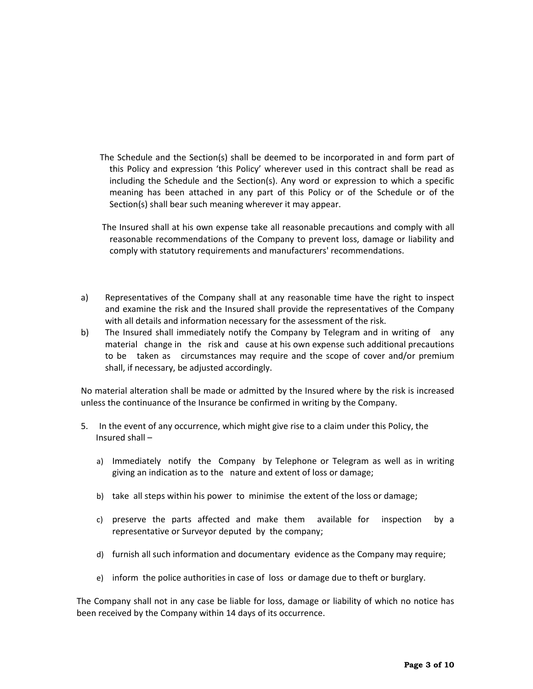- The Schedule and the Section(s) shall be deemed to be incorporated in and form part of this Policy and expression 'this Policy' wherever used in this contract shall be read as including the Schedule and the Section(s). Any word or expression to which a specific meaning has been attached in any part of this Policy or of the Schedule or of the Section(s) shall bear such meaning wherever it may appear.
- The Insured shall at his own expense take all reasonable precautions and comply with all reasonable recommendations of the Company to prevent loss, damage or liability and comply with statutory requirements and manufacturers' recommendations.
- a) Representatives of the Company shall at any reasonable time have the right to inspect and examine the risk and the Insured shall provide the representatives of the Company with all details and information necessary for the assessment of the risk.
- b) The Insured shall immediately notify the Company by Telegram and in writing of any material change in the risk and cause at his own expense such additional precautions to be taken as circumstances may require and the scope of cover and/or premium shall, if necessary, be adjusted accordingly.

No material alteration shall be made or admitted by the Insured where by the risk is increased unless the continuance of the Insurance be confirmed in writing by the Company.

- 5. In the event of any occurrence, which might give rise to a claim under this Policy, the Insured shall –
	- a) Immediately notify the Company by Telephone or Telegram as well as in writing giving an indication as to the nature and extent of loss or damage;
	- b) take all steps within his power to minimise the extent of the loss or damage;
	- c) preserve the parts affected and make them available for inspection by a representative or Surveyor deputed by the company;
	- d) furnish all such information and documentary evidence as the Company may require;
	- e) inform the police authorities in case of loss or damage due to theft or burglary.

The Company shall not in any case be liable for loss, damage or liability of which no notice has been received by the Company within 14 days of its occurrence.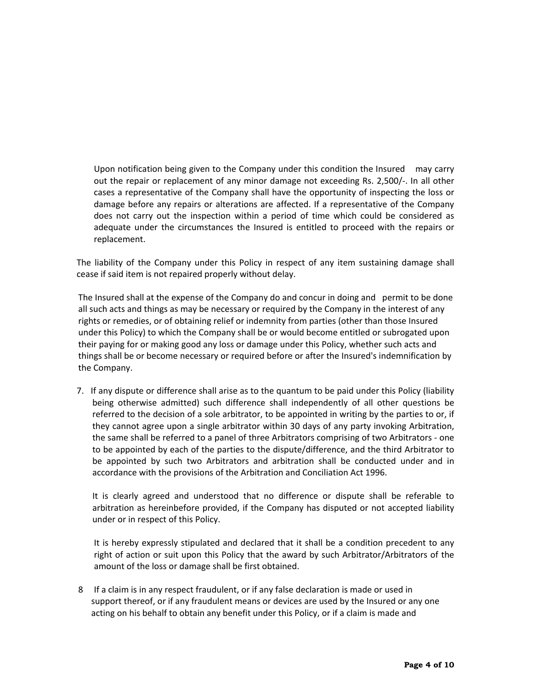Upon notification being given to the Company under this condition the Insured may carry out the repair or replacement of any minor damage not exceeding Rs. 2,500/-. In all other cases a representative of the Company shall have the opportunity of inspecting the loss or damage before any repairs or alterations are affected. If a representative of the Company does not carry out the inspection within a period of time which could be considered as adequate under the circumstances the Insured is entitled to proceed with the repairs or replacement.

The liability of the Company under this Policy in respect of any item sustaining damage shall cease if said item is not repaired properly without delay.

The Insured shall at the expense of the Company do and concur in doing and permit to be done all such acts and things as may be necessary or required by the Company in the interest of any rights or remedies, or of obtaining relief or indemnity from parties (other than those Insured under this Policy) to which the Company shall be or would become entitled or subrogated upon their paying for or making good any loss or damage under this Policy, whether such acts and things shall be or become necessary or required before or after the Insured's indemnification by the Company.

7. If any dispute or difference shall arise as to the quantum to be paid under this Policy (liability being otherwise admitted) such difference shall independently of all other questions be referred to the decision of a sole arbitrator, to be appointed in writing by the parties to or, if they cannot agree upon a single arbitrator within 30 days of any party invoking Arbitration, the same shall be referred to a panel of three Arbitrators comprising of two Arbitrators - one to be appointed by each of the parties to the dispute/difference, and the third Arbitrator to be appointed by such two Arbitrators and arbitration shall be conducted under and in accordance with the provisions of the Arbitration and Conciliation Act 1996.

It is clearly agreed and understood that no difference or dispute shall be referable to arbitration as hereinbefore provided, if the Company has disputed or not accepted liability under or in respect of this Policy.

It is hereby expressly stipulated and declared that it shall be a condition precedent to any right of action or suit upon this Policy that the award by such Arbitrator/Arbitrators of the amount of the loss or damage shall be first obtained.

8 If a claim is in any respect fraudulent, or if any false declaration is made or used in support thereof, or if any fraudulent means or devices are used by the Insured or any one acting on his behalf to obtain any benefit under this Policy, or if a claim is made and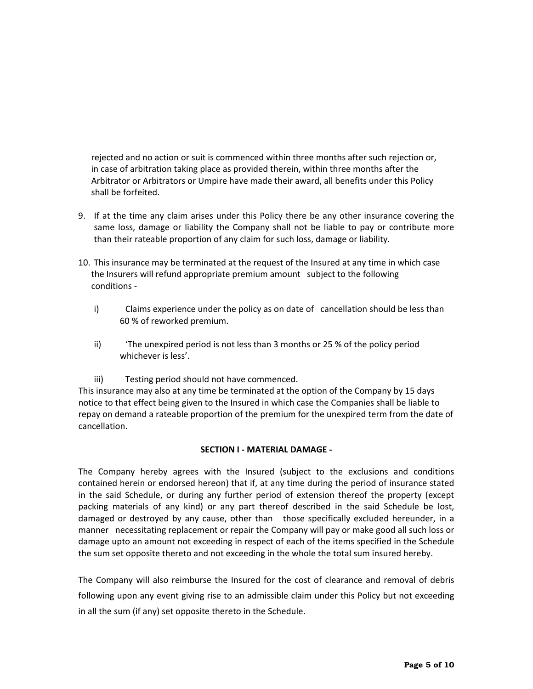rejected and no action or suit is commenced within three months after such rejection or, in case of arbitration taking place as provided therein, within three months after the Arbitrator or Arbitrators or Umpire have made their award, all benefits under this Policy shall be forfeited.

- 9. If at the time any claim arises under this Policy there be any other insurance covering the same loss, damage or liability the Company shall not be liable to pay or contribute more than their rateable proportion of any claim for such loss, damage or liability.
- 10. This insurance may be terminated at the request of the Insured at any time in which case the Insurers will refund appropriate premium amount subject to the following conditions
	- i) Claims experience under the policy as on date of cancellation should be less than 60 % of reworked premium.
	- ii) 'The unexpired period is not less than 3 months or 25 % of the policy period whichever is less'.
	- iii) Testing period should not have commenced.

This insurance may also at any time be terminated at the option of the Company by 15 days notice to that effect being given to the Insured in which case the Companies shall be liable to repay on demand a rateable proportion of the premium for the unexpired term from the date of cancellation.

#### **SECTION I - MATERIAL DAMAGE -**

The Company hereby agrees with the Insured (subject to the exclusions and conditions contained herein or endorsed hereon) that if, at any time during the period of insurance stated in the said Schedule, or during any further period of extension thereof the property (except packing materials of any kind) or any part thereof described in the said Schedule be lost, damaged or destroyed by any cause, other than those specifically excluded hereunder, in a manner necessitating replacement or repair the Company will pay or make good all such loss or damage upto an amount not exceeding in respect of each of the items specified in the Schedule the sum set opposite thereto and not exceeding in the whole the total sum insured hereby.

The Company will also reimburse the Insured for the cost of clearance and removal of debris following upon any event giving rise to an admissible claim under this Policy but not exceeding in all the sum (if any) set opposite thereto in the Schedule.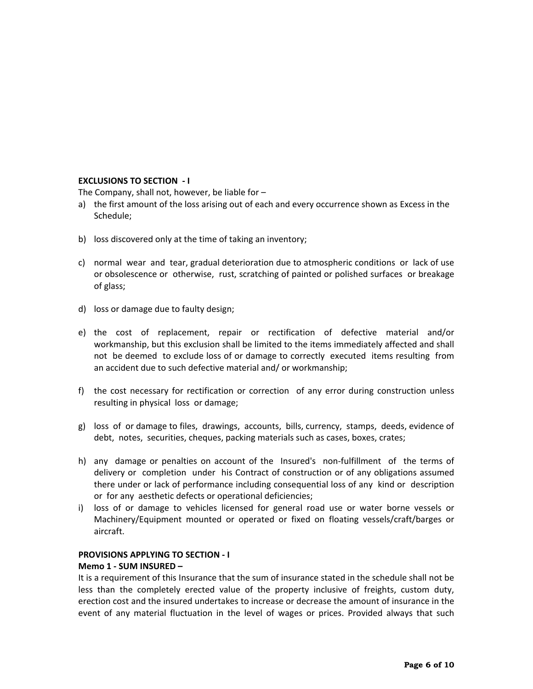## **EXCLUSIONS TO SECTION - I**

The Company, shall not, however, be liable for –

- a) the first amount of the loss arising out of each and every occurrence shown as Excess in the Schedule;
- b) loss discovered only at the time of taking an inventory;
- c) normal wear and tear, gradual deterioration due to atmospheric conditions or lack of use or obsolescence or otherwise, rust, scratching of painted or polished surfaces or breakage of glass;
- d) loss or damage due to faulty design;
- e) the cost of replacement, repair or rectification of defective material and/or workmanship, but this exclusion shall be limited to the items immediately affected and shall not be deemed to exclude loss of or damage to correctly executed items resulting from an accident due to such defective material and/ or workmanship;
- f) the cost necessary for rectification or correction of any error during construction unless resulting in physical loss or damage;
- g) loss of or damage to files, drawings, accounts, bills, currency, stamps, deeds, evidence of debt, notes, securities, cheques, packing materials such as cases, boxes, crates;
- h) any damage or penalties on account of the Insured's non-fulfillment of the terms of delivery or completion under his Contract of construction or of any obligations assumed there under or lack of performance including consequential loss of any kind or description or for any aesthetic defects or operational deficiencies;
- i) loss of or damage to vehicles licensed for general road use or water borne vessels or Machinery/Equipment mounted or operated or fixed on floating vessels/craft/barges or aircraft.

# **PROVISIONS APPLYING TO SECTION - I**

#### **Memo 1 - SUM INSURED –**

It is a requirement of this Insurance that the sum of insurance stated in the schedule shall not be less than the completely erected value of the property inclusive of freights, custom duty, erection cost and the insured undertakes to increase or decrease the amount of insurance in the event of any material fluctuation in the level of wages or prices. Provided always that such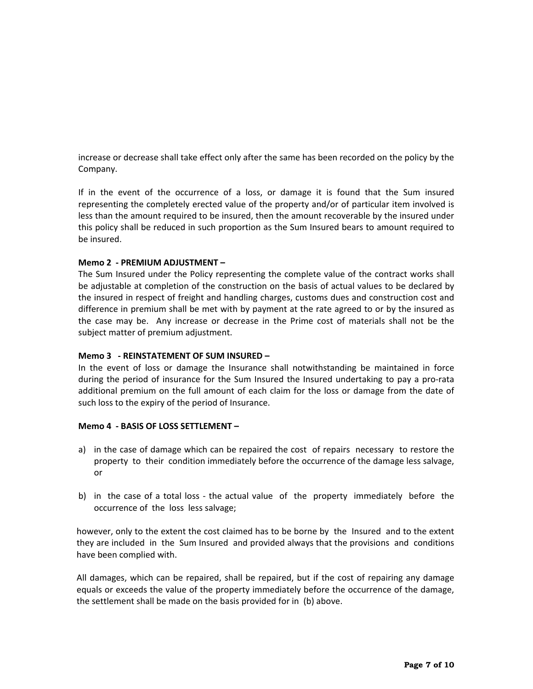increase or decrease shall take effect only after the same has been recorded on the policy by the Company.

If in the event of the occurrence of a loss, or damage it is found that the Sum insured representing the completely erected value of the property and/or of particular item involved is less than the amount required to be insured, then the amount recoverable by the insured under this policy shall be reduced in such proportion as the Sum Insured bears to amount required to be insured.

## **Memo 2 - PREMIUM ADJUSTMENT –**

The Sum Insured under the Policy representing the complete value of the contract works shall be adjustable at completion of the construction on the basis of actual values to be declared by the insured in respect of freight and handling charges, customs dues and construction cost and difference in premium shall be met with by payment at the rate agreed to or by the insured as the case may be. Any increase or decrease in the Prime cost of materials shall not be the subject matter of premium adjustment.

## **Memo 3 - REINSTATEMENT OF SUM INSURED –**

In the event of loss or damage the Insurance shall notwithstanding be maintained in force during the period of insurance for the Sum Insured the Insured undertaking to pay a pro-rata additional premium on the full amount of each claim for the loss or damage from the date of such loss to the expiry of the period of Insurance.

## **Memo 4 - BASIS OF LOSS SETTLEMENT –**

- a) in the case of damage which can be repaired the cost of repairs necessary to restore the property to their condition immediately before the occurrence of the damage less salvage, or
- b) in the case of a total loss the actual value of the property immediately before the occurrence of the loss less salvage;

however, only to the extent the cost claimed has to be borne by the Insured and to the extent they are included in the Sum Insured and provided always that the provisions and conditions have been complied with.

All damages, which can be repaired, shall be repaired, but if the cost of repairing any damage equals or exceeds the value of the property immediately before the occurrence of the damage, the settlement shall be made on the basis provided for in (b) above.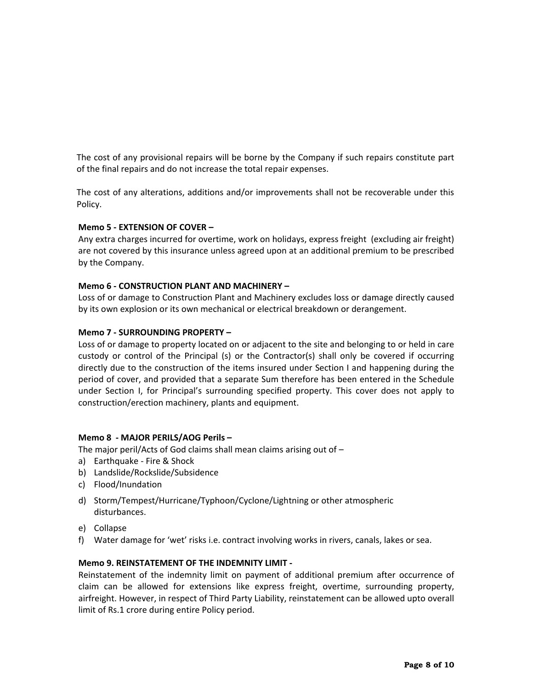The cost of any provisional repairs will be borne by the Company if such repairs constitute part of the final repairs and do not increase the total repair expenses.

The cost of any alterations, additions and/or improvements shall not be recoverable under this Policy.

## **Memo 5 - EXTENSION OF COVER –**

Any extra charges incurred for overtime, work on holidays, express freight (excluding air freight) are not covered by this insurance unless agreed upon at an additional premium to be prescribed by the Company.

#### **Memo 6 - CONSTRUCTION PLANT AND MACHINERY –**

Loss of or damage to Construction Plant and Machinery excludes loss or damage directly caused by its own explosion or its own mechanical or electrical breakdown or derangement.

#### **Memo 7 - SURROUNDING PROPERTY –**

Loss of or damage to property located on or adjacent to the site and belonging to or held in care custody or control of the Principal (s) or the Contractor(s) shall only be covered if occurring directly due to the construction of the items insured under Section I and happening during the period of cover, and provided that a separate Sum therefore has been entered in the Schedule under Section I, for Principal's surrounding specified property. This cover does not apply to construction/erection machinery, plants and equipment.

#### **Memo 8 - MAJOR PERILS/AOG Perils –**

The major peril/Acts of God claims shall mean claims arising out of –

- a) Earthquake Fire & Shock
- b) Landslide/Rockslide/Subsidence
- c) Flood/Inundation
- d) Storm/Tempest/Hurricane/Typhoon/Cyclone/Lightning or other atmospheric disturbances.
- e) Collapse
- f) Water damage for 'wet' risks i.e. contract involving works in rivers, canals, lakes or sea.

#### **Memo 9. REINSTATEMENT OF THE INDEMNITY LIMIT -**

Reinstatement of the indemnity limit on payment of additional premium after occurrence of claim can be allowed for extensions like express freight, overtime, surrounding property, airfreight. However, in respect of Third Party Liability, reinstatement can be allowed upto overall limit of Rs.1 crore during entire Policy period.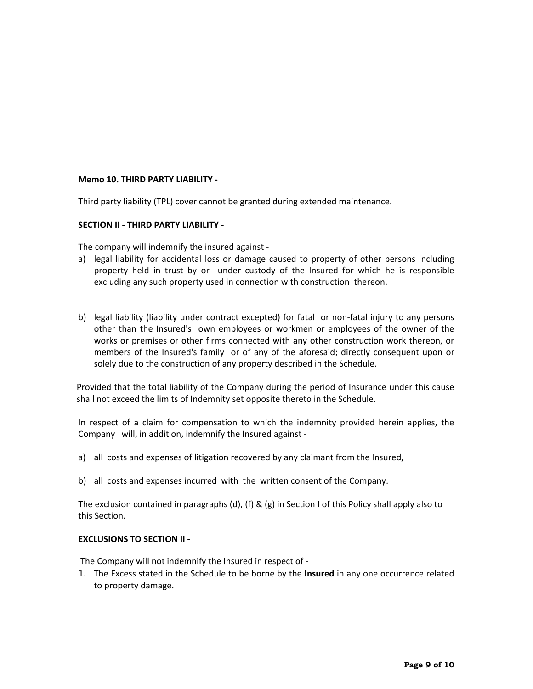## **Memo 10. THIRD PARTY LIABILITY -**

Third party liability (TPL) cover cannot be granted during extended maintenance.

#### **SECTION II - THIRD PARTY LIABILITY -**

The company will indemnify the insured against -

- a) legal liability for accidental loss or damage caused to property of other persons including property held in trust by or under custody of the Insured for which he is responsible excluding any such property used in connection with construction thereon.
- b) legal liability (liability under contract excepted) for fatal or non-fatal injury to any persons other than the Insured's own employees or workmen or employees of the owner of the works or premises or other firms connected with any other construction work thereon, or members of the Insured's family or of any of the aforesaid; directly consequent upon or solely due to the construction of any property described in the Schedule.

Provided that the total liability of the Company during the period of Insurance under this cause shall not exceed the limits of Indemnity set opposite thereto in the Schedule.

In respect of a claim for compensation to which the indemnity provided herein applies, the Company will, in addition, indemnify the Insured against -

- a) all costs and expenses of litigation recovered by any claimant from the Insured,
- b) all costs and expenses incurred with the written consent of the Company.

The exclusion contained in paragraphs (d), (f) & (g) in Section I of this Policy shall apply also to this Section.

#### **EXCLUSIONS TO SECTION II -**

The Company will not indemnify the Insured in respect of -

1. The Excess stated in the Schedule to be borne by the **Insured** in any one occurrence related to property damage.